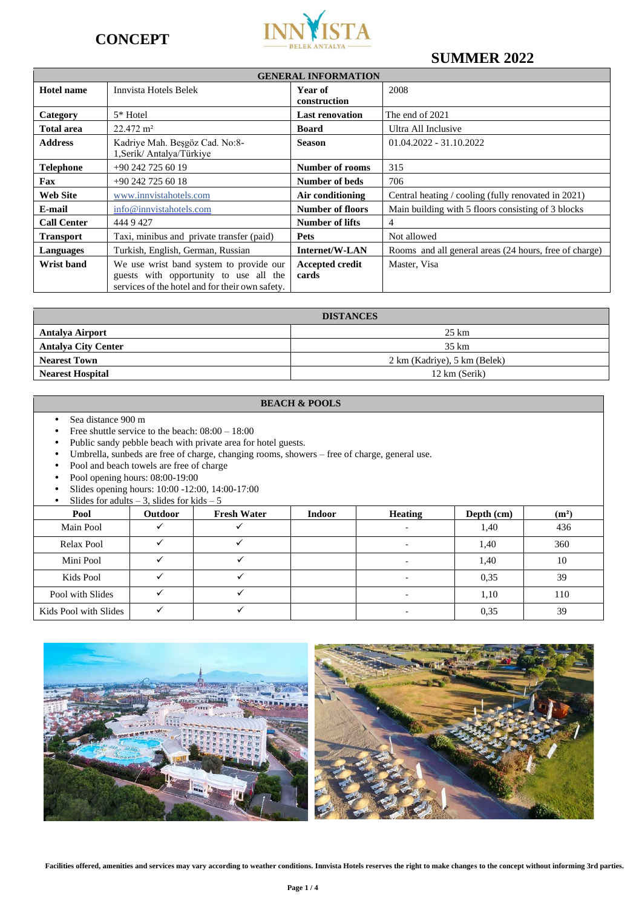



# **SUMMER 2022**

| <b>GENERAL INFORMATION</b> |                                                                                                                                      |                                 |                                                        |
|----------------------------|--------------------------------------------------------------------------------------------------------------------------------------|---------------------------------|--------------------------------------------------------|
| <b>Hotel name</b>          | Innvista Hotels Belek                                                                                                                | Year of<br>construction         | 2008                                                   |
| Category                   | 5* Hotel                                                                                                                             | <b>Last renovation</b>          | The end of 2021                                        |
| <b>Total area</b>          | $22.472 \text{ m}^2$                                                                                                                 | <b>Board</b>                    | Ultra All Inclusive                                    |
| <b>Address</b>             | Kadriye Mah. Beşgöz Cad. No:8-<br>1, Serik/ Antalya/Türkiye                                                                          | <b>Season</b>                   | $01.04.2022 - 31.10.2022$                              |
| <b>Telephone</b>           | +90 242 725 60 19                                                                                                                    | <b>Number of rooms</b>          | 315                                                    |
| Fax                        | $+90$ 242 725 60 18                                                                                                                  | Number of beds                  | 706                                                    |
| Web Site                   | www.innvistahotels.com                                                                                                               | Air conditioning                | Central heating / cooling (fully renovated in 2021)    |
| E-mail                     | info@innvistahotels.com                                                                                                              | <b>Number of floors</b>         | Main building with 5 floors consisting of 3 blocks     |
| <b>Call Center</b>         | 444 9 427                                                                                                                            | Number of lifts                 | 4                                                      |
| <b>Transport</b>           | Taxi, minibus and private transfer (paid)                                                                                            | <b>Pets</b>                     | Not allowed                                            |
| Languages                  | Turkish, English, German, Russian                                                                                                    | Internet/W-LAN                  | Rooms and all general areas (24 hours, free of charge) |
| Wrist band                 | We use wrist band system to provide our<br>guests with opportunity to use all the<br>services of the hotel and for their own safety. | <b>Accepted credit</b><br>cards | Master, Visa                                           |

| <b>DISTANCES</b>           |                              |  |
|----------------------------|------------------------------|--|
| <b>Antalya Airport</b>     | $25 \text{ km}$              |  |
| <b>Antalya City Center</b> | 35 km                        |  |
| <b>Nearest Town</b>        | 2 km (Kadriye), 5 km (Belek) |  |
| <b>Nearest Hospital</b>    | 12 km (Serik)                |  |

### **BEACH & POOLS**

- Sea distance 900 m
- Free shuttle service to the beach:  $08:00 18:00$ <br>• Public sandy pebble beach with private area for
- Public sandy pebble beach with private area for hotel guests.<br>• Umbrella, sunbeds are free of charge, changing rooms, show
- Umbrella, sunbeds are free of charge, changing rooms, showers free of charge, general use.
- Pool and beach towels are free of charge
- Pool opening hours: 08:00-19:00
- Slides opening hours: 10:00 -12:00, 14:00-17:00

|                       | Slides for adults $-3$ , slides for kids $-5$ |                    |               |                |              |                   |
|-----------------------|-----------------------------------------------|--------------------|---------------|----------------|--------------|-------------------|
| Pool                  | <b>Outdoor</b>                                | <b>Fresh Water</b> | <b>Indoor</b> | <b>Heating</b> | Depth $(cm)$ | (m <sup>2</sup> ) |
| Main Pool             |                                               |                    |               |                | 1,40         | 436               |
| Relax Pool            |                                               |                    |               |                | 1,40         | 360               |
| Mini Pool             |                                               |                    |               |                | 1,40         | 10                |
| Kids Pool             |                                               |                    |               |                | 0.35         | 39                |
| Pool with Slides      |                                               |                    |               |                | 1,10         | 110               |
| Kids Pool with Slides |                                               |                    |               |                | 0.35         | 39                |



**Facilities offered, amenities and services may vary according to weather conditions. Innvista Hotels reserves the right to make changes to the concept without informing 3rd parties.**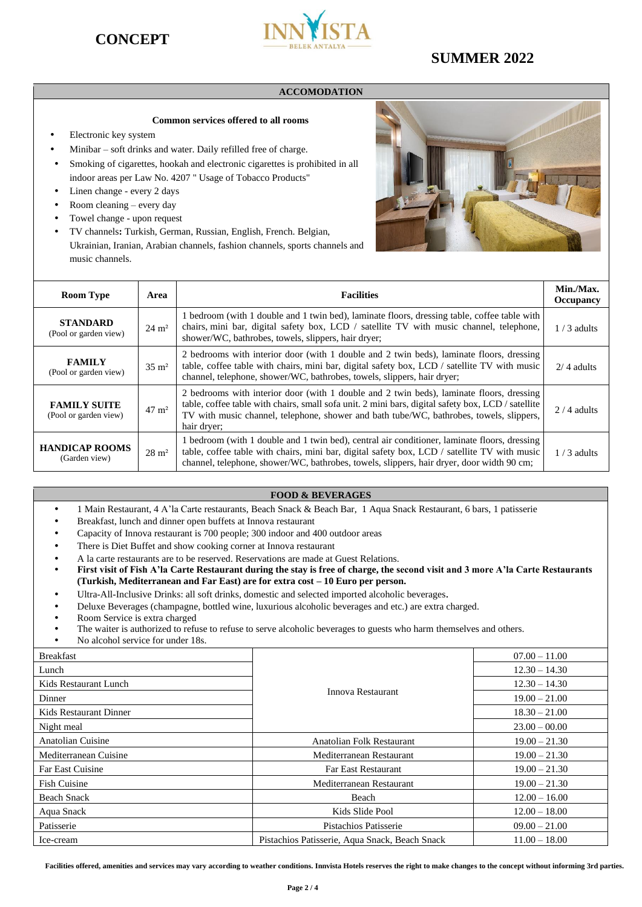



# **SUMMER 2022**

### **ACCOMODATION**

### **Common services offered to all rooms**

- Electronic key system
- Minibar soft drinks and water. Daily refilled free of charge.
- Smoking of cigarettes, hookah and electronic cigarettes is prohibited in all indoor areas per Law No. 4207 " Usage of Tobacco Products"
- Linen change every 2 days
- Room cleaning every day
- Towel change upon request
- TV channels**:** Turkish, German, Russian, English, French. Belgian, Ukrainian, Iranian, Arabian channels, fashion channels, sports channels and music channels.



| <b>Room Type</b>                             | Area             | <b>Facilities</b>                                                                                                                                                                                                                                                                                        | Min./Max.<br><b>Occupancy</b> |
|----------------------------------------------|------------------|----------------------------------------------------------------------------------------------------------------------------------------------------------------------------------------------------------------------------------------------------------------------------------------------------------|-------------------------------|
| <b>STANDARD</b><br>(Pool or garden view)     | $24 \text{ m}^2$ | 1 bedroom (with 1 double and 1 twin bed), laminate floors, dressing table, coffee table with<br>chairs, mini bar, digital safety box, LCD / satellite TV with music channel, telephone,<br>shower/WC, bathrobes, towels, slippers, hair dryer;                                                           | $1/3$ adults                  |
| <b>FAMILY</b><br>(Pool or garden view)       | $35 \text{ m}^2$ | 2 bedrooms with interior door (with 1 double and 2 twin beds), laminate floors, dressing<br>table, coffee table with chairs, mini bar, digital safety box, LCD / satellite TV with music<br>channel, telephone, shower/WC, bathrobes, towels, slippers, hair dryer;                                      | $2/4$ adults                  |
| <b>FAMILY SUITE</b><br>(Pool or garden view) | $47 \text{ m}^2$ | 2 bedrooms with interior door (with 1 double and 2 twin beds), laminate floors, dressing<br>table, coffee table with chairs, small sofa unit. 2 mini bars, digital safety box, LCD / satellite<br>TV with music channel, telephone, shower and bath tube/WC, bathrobes, towels, slippers,<br>hair dryer; | $2/4$ adults                  |
| <b>HANDICAP ROOMS</b><br>(Garden view)       | $28 \text{ m}^2$ | 1 bedroom (with 1 double and 1 twin bed), central air conditioner, laminate floors, dressing<br>table, coffee table with chairs, mini bar, digital safety box, LCD / satellite TV with music<br>channel, telephone, shower/WC, bathrobes, towels, slippers, hair dryer, door width 90 cm;                | $1/3$ adults                  |

### **FOOD & BEVERAGES**

- 1 Main Restaurant, 4 A'la Carte restaurants, Beach Snack & Beach Bar, 1 Aqua Snack Restaurant, 6 bars, 1 patisserie
- Breakfast, lunch and dinner open buffets at Innova restaurant
- Capacity of Innova restaurant is 700 people; 300 indoor and 400 outdoor areas
- There is Diet Buffet and show cooking corner at Innova restaurant
- A la carte restaurants are to be reserved. Reservations are made at Guest Relations.
- **First visit of Fish A'la Carte Restaurant during the stay is free of charge, the second visit and 3 more A'la Carte Restaurants (Turkish, Mediterranean and Far East) are for extra cost – 10 Euro per person.**
- Ultra-All-Inclusive Drinks: all soft drinks, domestic and selected imported alcoholic beverages.
- Deluxe Beverages (champagne, bottled wine, luxurious alcoholic beverages and etc.) are extra charged.
- Room Service is extra charged
- The waiter is authorized to refuse to refuse to serve alcoholic beverages to guests who harm themselves and others.
- No alcohol service for under 18s.

| <b>Breakfast</b>        |                                                | $07.00 - 11.00$ |
|-------------------------|------------------------------------------------|-----------------|
| Lunch                   |                                                | $12.30 - 14.30$ |
| Kids Restaurant Lunch   |                                                | $12.30 - 14.30$ |
| Dinner                  | Innova Restaurant                              | $19.00 - 21.00$ |
| Kids Restaurant Dinner  |                                                | $18.30 - 21.00$ |
| Night meal              |                                                | $23.00 - 00.00$ |
| Anatolian Cuisine       | Anatolian Folk Restaurant                      | $19.00 - 21.30$ |
| Mediterranean Cuisine   | Mediterranean Restaurant                       | $19.00 - 21.30$ |
| <b>Far East Cuisine</b> | <b>Far East Restaurant</b>                     | $19.00 - 21.30$ |
| <b>Fish Cuisine</b>     | Mediterranean Restaurant                       | $19.00 - 21.30$ |
| <b>Beach Snack</b>      | Beach                                          | $12.00 - 16.00$ |
| Aqua Snack              | Kids Slide Pool                                | $12.00 - 18.00$ |
| Patisserie              | Pistachios Patisserie                          | $09.00 - 21.00$ |
| Ice-cream               | Pistachios Patisserie, Aqua Snack, Beach Snack | $11.00 - 18.00$ |

Facilities offered, amenities and services may vary according to weather conditions. Innvista Hotels reserves the right to make changes to the concept without informing 3rd parties.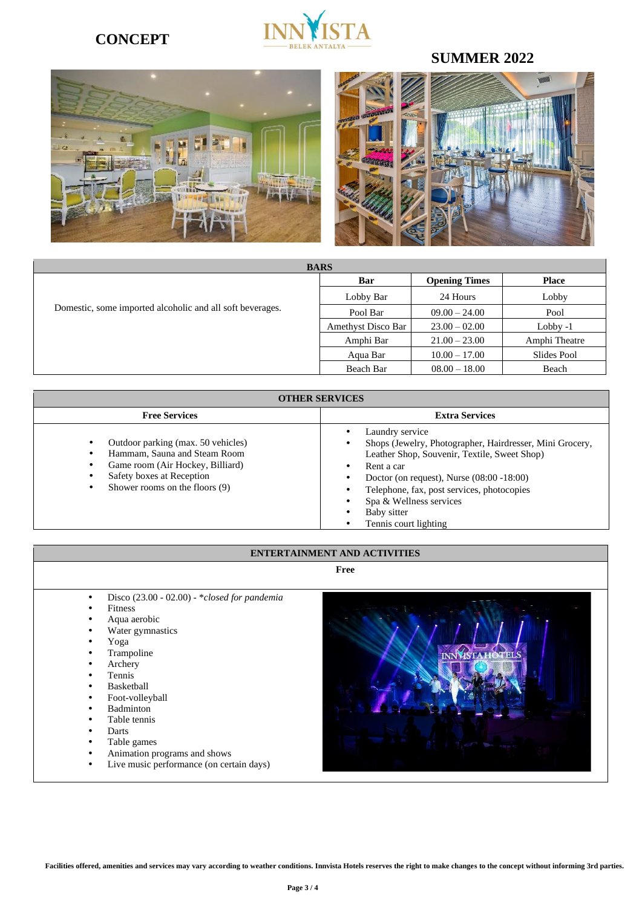# **CONCEPT**



# **SUMMER 2022**

**INNASTAH** 



| <b>BARS</b>                                               |                    |                      |               |  |  |
|-----------------------------------------------------------|--------------------|----------------------|---------------|--|--|
|                                                           | Bar                | <b>Opening Times</b> | <b>Place</b>  |  |  |
|                                                           | Lobby Bar          | 24 Hours             | Lobby         |  |  |
| Domestic, some imported alcoholic and all soft beverages. | Pool Bar           | $09.00 - 24.00$      | Pool          |  |  |
|                                                           | Amethyst Disco Bar | $23.00 - 02.00$      | Lobby -1      |  |  |
|                                                           | Amphi Bar          | $21.00 - 23.00$      | Amphi Theatre |  |  |
|                                                           | Aqua Bar           | $10.00 - 17.00$      | Slides Pool   |  |  |
|                                                           | Beach Bar          | $08.00 - 18.00$      | Beach         |  |  |

| <b>OTHER SERVICES</b>                                                                                                                                                      |                                                                                                                                                                                                                                                                                                            |  |  |
|----------------------------------------------------------------------------------------------------------------------------------------------------------------------------|------------------------------------------------------------------------------------------------------------------------------------------------------------------------------------------------------------------------------------------------------------------------------------------------------------|--|--|
| <b>Free Services</b>                                                                                                                                                       | <b>Extra Services</b>                                                                                                                                                                                                                                                                                      |  |  |
| Outdoor parking (max. 50 vehicles)<br>Hammam, Sauna and Steam Room<br>Game room (Air Hockey, Billiard)<br>Safety boxes at Reception<br>Shower rooms on the floors (9)<br>٠ | Laundry service<br>Shops (Jewelry, Photographer, Hairdresser, Mini Grocery,<br>Leather Shop, Souvenir, Textile, Sweet Shop)<br>Rent a car<br>Doctor (on request), Nurse $(08:00 - 18:00)$<br>Telephone, fax, post services, photocopies<br>Spa & Wellness services<br>Baby sitter<br>Tennis court lighting |  |  |

### **ENTERTAINMENT AND ACTIVITIES**

**Free** 

- Disco (23.00 02.00) \**closed for pandemia*
- Fitness
- Aqua aerobic
- Water gymnastics
- Yoga
- Trampoline
- Archery
- Tennis
- Basketball
- Foot-volleyball
- **Badminton**
- Table tennis
- Darts
- Table games
- Animation programs and shows
- Live music performance (on certain days)